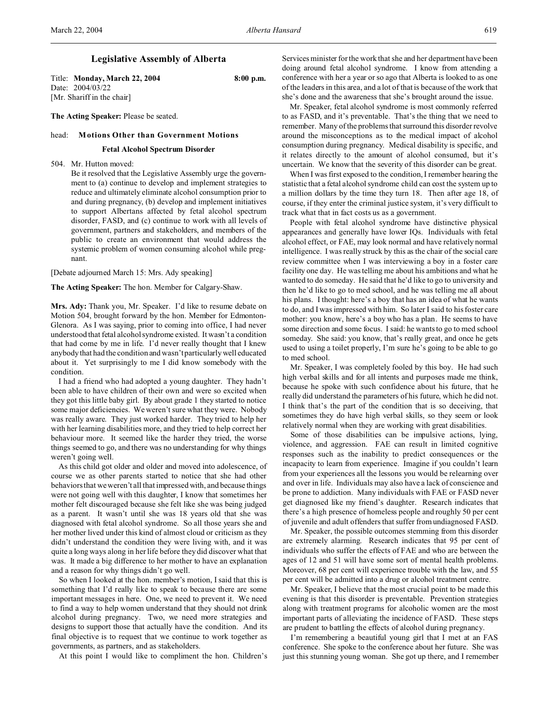# **Legislative Assembly of Alberta**

Title: **Monday, March 22, 2004 8:00 p.m.** Date: 2004/03/22 [Mr. Shariff in the chair]

**The Acting Speaker:** Please be seated.

### head: **Motions Other than Government Motions**

### **Fetal Alcohol Spectrum Disorder**

504. Mr. Hutton moved:

Be it resolved that the Legislative Assembly urge the government to (a) continue to develop and implement strategies to reduce and ultimately eliminate alcohol consumption prior to and during pregnancy, (b) develop and implement initiatives to support Albertans affected by fetal alcohol spectrum disorder, FASD, and (c) continue to work with all levels of government, partners and stakeholders, and members of the public to create an environment that would address the systemic problem of women consuming alcohol while pregnant.

[Debate adjourned March 15: Mrs. Ady speaking]

**The Acting Speaker:** The hon. Member for Calgary-Shaw.

**Mrs. Ady:** Thank you, Mr. Speaker. I'd like to resume debate on Motion 504, brought forward by the hon. Member for Edmonton-Glenora. As I was saying, prior to coming into office, I had never understood that fetal alcohol syndrome existed. It wasn't a condition that had come by me in life. I'd never really thought that I knew anybody that had the condition and wasn't particularly well educated about it. Yet surprisingly to me I did know somebody with the condition.

I had a friend who had adopted a young daughter. They hadn't been able to have children of their own and were so excited when they got this little baby girl. By about grade 1 they started to notice some major deficiencies. We weren't sure what they were. Nobody was really aware. They just worked harder. They tried to help her with her learning disabilities more, and they tried to help correct her behaviour more. It seemed like the harder they tried, the worse things seemed to go, and there was no understanding for why things weren't going well.

As this child got older and older and moved into adolescence, of course we as other parents started to notice that she had other behaviors that we weren't all that impressed with, and because things were not going well with this daughter, I know that sometimes her mother felt discouraged because she felt like she was being judged as a parent. It wasn't until she was 18 years old that she was diagnosed with fetal alcohol syndrome. So all those years she and her mother lived under this kind of almost cloud or criticism as they didn't understand the condition they were living with, and it was quite a long ways along in her life before they did discover what that was. It made a big difference to her mother to have an explanation and a reason for why things didn't go well.

So when I looked at the hon. member's motion, I said that this is something that I'd really like to speak to because there are some important messages in here. One, we need to prevent it. We need to find a way to help women understand that they should not drink alcohol during pregnancy. Two, we need more strategies and designs to support those that actually have the condition. And its final objective is to request that we continue to work together as governments, as partners, and as stakeholders.

At this point I would like to compliment the hon. Children's

Services minister for the work that she and her department have been doing around fetal alcohol syndrome. I know from attending a conference with her a year or so ago that Alberta is looked to as one of the leaders in this area, and a lot of that is because of the work that she's done and the awareness that she's brought around the issue.

Mr. Speaker, fetal alcohol syndrome is most commonly referred to as FASD, and it's preventable. That's the thing that we need to remember. Many of the problems that surround this disorder revolve around the misconceptions as to the medical impact of alcohol consumption during pregnancy. Medical disability is specific, and it relates directly to the amount of alcohol consumed, but it's uncertain. We know that the severity of this disorder can be great.

When I was first exposed to the condition, I remember hearing the statistic that a fetal alcohol syndrome child can cost the system up to a million dollars by the time they turn 18. Then after age 18, of course, if they enter the criminal justice system, it's very difficult to track what that in fact costs us as a government.

People with fetal alcohol syndrome have distinctive physical appearances and generally have lower IQs. Individuals with fetal alcohol effect, or FAE, may look normal and have relatively normal intelligence. I was really struck by this as the chair of the social care review committee when I was interviewing a boy in a foster care facility one day. He was telling me about his ambitions and what he wanted to do someday. He said that he'd like to go to university and then he'd like to go to med school, and he was telling me all about his plans. I thought: here's a boy that has an idea of what he wants to do, and I was impressed with him. So later I said to his foster care mother: you know, here's a boy who has a plan. He seems to have some direction and some focus. I said: he wants to go to med school someday. She said: you know, that's really great, and once he gets used to using a toilet properly, I'm sure he's going to be able to go to med school.

Mr. Speaker, I was completely fooled by this boy. He had such high verbal skills and for all intents and purposes made me think, because he spoke with such confidence about his future, that he really did understand the parameters of his future, which he did not. I think that's the part of the condition that is so deceiving, that sometimes they do have high verbal skills, so they seem or look relatively normal when they are working with great disabilities.

Some of those disabilities can be impulsive actions, lying, violence, and aggression. FAE can result in limited cognitive responses such as the inability to predict consequences or the incapacity to learn from experience. Imagine if you couldn't learn from your experiences all the lessons you would be relearning over and over in life. Individuals may also have a lack of conscience and be prone to addiction. Many individuals with FAE or FASD never get diagnosed like my friend's daughter. Research indicates that there's a high presence of homeless people and roughly 50 per cent of juvenile and adult offenders that suffer from undiagnosed FASD.

Mr. Speaker, the possible outcomes stemming from this disorder are extremely alarming. Research indicates that 95 per cent of individuals who suffer the effects of FAE and who are between the ages of 12 and 51 will have some sort of mental health problems. Moreover, 68 per cent will experience trouble with the law, and 55 per cent will be admitted into a drug or alcohol treatment centre.

Mr. Speaker, I believe that the most crucial point to be made this evening is that this disorder is preventable. Prevention strategies along with treatment programs for alcoholic women are the most important parts of alleviating the incidence of FASD. These steps are prudent to battling the effects of alcohol during pregnancy.

I'm remembering a beautiful young girl that I met at an FAS conference. She spoke to the conference about her future. She was just this stunning young woman. She got up there, and I remember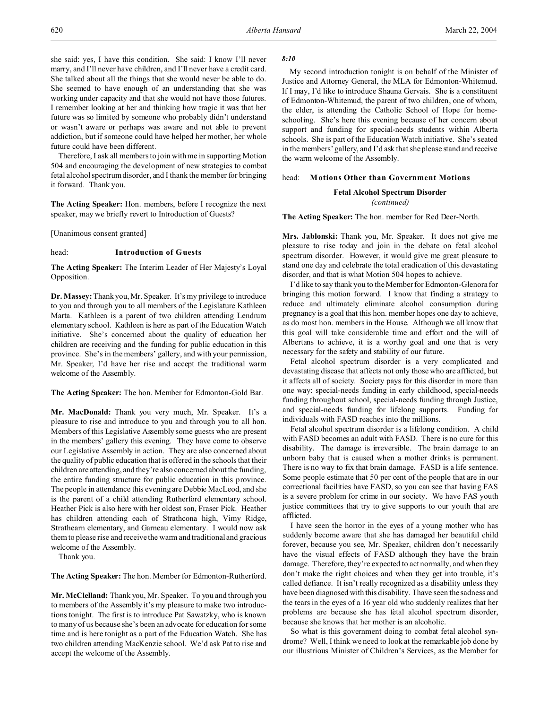she said: yes, I have this condition. She said: I know I'll never marry, and I'll never have children, and I'll never have a credit card. She talked about all the things that she would never be able to do. She seemed to have enough of an understanding that she was working under capacity and that she would not have those futures. I remember looking at her and thinking how tragic it was that her future was so limited by someone who probably didn't understand or wasn't aware or perhaps was aware and not able to prevent addiction, but if someone could have helped her mother, her whole future could have been different.

Therefore, I ask all members to join with me in supporting Motion 504 and encouraging the development of new strategies to combat fetal alcohol spectrum disorder, and I thank the member for bringing it forward. Thank you.

**The Acting Speaker:** Hon. members, before I recognize the next speaker, may we briefly revert to Introduction of Guests?

[Unanimous consent granted]

### head: **Introduction of Guests**

**The Acting Speaker:** The Interim Leader of Her Majesty's Loyal Opposition.

**Dr. Massey:** Thank you, Mr. Speaker. It's my privilege to introduce to you and through you to all members of the Legislature Kathleen Marta. Kathleen is a parent of two children attending Lendrum elementary school. Kathleen is here as part of the Education Watch initiative. She's concerned about the quality of education her children are receiving and the funding for public education in this province. She's in the members' gallery, and with your permission, Mr. Speaker, I'd have her rise and accept the traditional warm welcome of the Assembly.

**The Acting Speaker:** The hon. Member for Edmonton-Gold Bar.

**Mr. MacDonald:** Thank you very much, Mr. Speaker. It's a pleasure to rise and introduce to you and through you to all hon. Members of this Legislative Assembly some guests who are present in the members' gallery this evening. They have come to observe our Legislative Assembly in action. They are also concerned about the quality of public education that is offered in the schools that their children are attending, and they're also concerned about the funding, the entire funding structure for public education in this province. The people in attendance this evening are Debbie MacLeod, and she is the parent of a child attending Rutherford elementary school. Heather Pick is also here with her oldest son, Fraser Pick. Heather has children attending each of Strathcona high, Vimy Ridge, Strathearn elementary, and Garneau elementary. I would now ask them to please rise and receive the warm and traditional and gracious welcome of the Assembly.

Thank you.

**The Acting Speaker:** The hon. Member for Edmonton-Rutherford.

**Mr. McClelland:** Thank you, Mr. Speaker. To you and through you to members of the Assembly it's my pleasure to make two introductions tonight. The first is to introduce Pat Sawatzky, who is known to many of us because she's been an advocate for education for some time and is here tonight as a part of the Education Watch. She has two children attending MacKenzie school. We'd ask Pat to rise and accept the welcome of the Assembly.

## *8:10*

My second introduction tonight is on behalf of the Minister of Justice and Attorney General, the MLA for Edmonton-Whitemud. If I may, I'd like to introduce Shauna Gervais. She is a constituent of Edmonton-Whitemud, the parent of two children, one of whom, the elder, is attending the Catholic School of Hope for homeschooling. She's here this evening because of her concern about support and funding for special-needs students within Alberta schools. She is part of the Education Watch initiative. She's seated in the members' gallery, and I'd ask that she please stand and receive the warm welcome of the Assembly.

# head: **Motions Other than Government Motions**

**Fetal Alcohol Spectrum Disorder** *(continued)*

**The Acting Speaker:** The hon. member for Red Deer-North.

**Mrs. Jablonski:** Thank you, Mr. Speaker. It does not give me pleasure to rise today and join in the debate on fetal alcohol spectrum disorder. However, it would give me great pleasure to stand one day and celebrate the total eradication of this devastating disorder, and that is what Motion 504 hopes to achieve.

I'd like to say thank you to the Member for Edmonton-Glenora for bringing this motion forward. I know that finding a strategy to reduce and ultimately eliminate alcohol consumption during pregnancy is a goal that this hon. member hopes one day to achieve, as do most hon. members in the House. Although we all know that this goal will take considerable time and effort and the will of Albertans to achieve, it is a worthy goal and one that is very necessary for the safety and stability of our future.

Fetal alcohol spectrum disorder is a very complicated and devastating disease that affects not only those who are afflicted, but it affects all of society. Society pays for this disorder in more than one way: special-needs funding in early childhood, special-needs funding throughout school, special-needs funding through Justice, and special-needs funding for lifelong supports. Funding for individuals with FASD reaches into the millions.

Fetal alcohol spectrum disorder is a lifelong condition. A child with FASD becomes an adult with FASD. There is no cure for this disability. The damage is irreversible. The brain damage to an unborn baby that is caused when a mother drinks is permanent. There is no way to fix that brain damage. FASD is a life sentence. Some people estimate that 50 per cent of the people that are in our correctional facilities have FASD, so you can see that having FAS is a severe problem for crime in our society. We have FAS youth justice committees that try to give supports to our youth that are afflicted.

I have seen the horror in the eyes of a young mother who has suddenly become aware that she has damaged her beautiful child forever, because you see, Mr. Speaker, children don't necessarily have the visual effects of FASD although they have the brain damage. Therefore, they're expected to act normally, and when they don't make the right choices and when they get into trouble, it's called defiance. It isn't really recognized as a disability unless they have been diagnosed with this disability. I have seen the sadness and the tears in the eyes of a 16 year old who suddenly realizes that her problems are because she has fetal alcohol spectrum disorder, because she knows that her mother is an alcoholic.

So what is this government doing to combat fetal alcohol syndrome? Well, I think we need to look at the remarkable job done by our illustrious Minister of Children's Services, as the Member for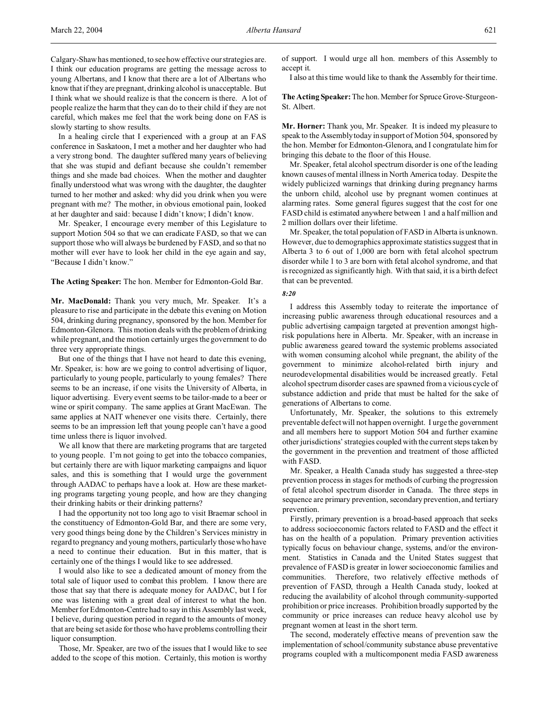Calgary-Shaw has mentioned, to see how effective our strategies are. I think our education programs are getting the message across to young Albertans, and I know that there are a lot of Albertans who know that if they are pregnant, drinking alcohol is unacceptable. But I think what we should realize is that the concern is there. A lot of people realize the harm that they can do to their child if they are not careful, which makes me feel that the work being done on FAS is slowly starting to show results.

In a healing circle that I experienced with a group at an FAS conference in Saskatoon, I met a mother and her daughter who had a very strong bond. The daughter suffered many years of believing that she was stupid and defiant because she couldn't remember things and she made bad choices. When the mother and daughter finally understood what was wrong with the daughter, the daughter turned to her mother and asked: why did you drink when you were pregnant with me? The mother, in obvious emotional pain, looked at her daughter and said: because I didn't know; I didn't know.

Mr. Speaker, I encourage every member of this Legislature to support Motion 504 so that we can eradicate FASD, so that we can support those who will always be burdened by FASD, and so that no mother will ever have to look her child in the eye again and say, "Because I didn't know."

**The Acting Speaker:** The hon. Member for Edmonton-Gold Bar.

**Mr. MacDonald:** Thank you very much, Mr. Speaker. It's a pleasure to rise and participate in the debate this evening on Motion 504, drinking during pregnancy, sponsored by the hon. Member for Edmonton-Glenora. This motion deals with the problem of drinking while pregnant, and the motion certainly urges the government to do three very appropriate things.

But one of the things that I have not heard to date this evening, Mr. Speaker, is: how are we going to control advertising of liquor, particularly to young people, particularly to young females? There seems to be an increase, if one visits the University of Alberta, in liquor advertising. Every event seems to be tailor-made to a beer or wine or spirit company. The same applies at Grant MacEwan. The same applies at NAIT whenever one visits there. Certainly, there seems to be an impression left that young people can't have a good time unless there is liquor involved.

We all know that there are marketing programs that are targeted to young people. I'm not going to get into the tobacco companies, but certainly there are with liquor marketing campaigns and liquor sales, and this is something that I would urge the government through AADAC to perhaps have a look at. How are these marketing programs targeting young people, and how are they changing their drinking habits or their drinking patterns?

I had the opportunity not too long ago to visit Braemar school in the constituency of Edmonton-Gold Bar, and there are some very, very good things being done by the Children's Services ministry in regard to pregnancy and young mothers, particularly those who have a need to continue their education. But in this matter, that is certainly one of the things I would like to see addressed.

I would also like to see a dedicated amount of money from the total sale of liquor used to combat this problem. I know there are those that say that there is adequate money for AADAC, but I for one was listening with a great deal of interest to what the hon. Member for Edmonton-Centre had to say in this Assembly last week, I believe, during question period in regard to the amounts of money that are being set aside for those who have problems controlling their liquor consumption.

Those, Mr. Speaker, are two of the issues that I would like to see added to the scope of this motion. Certainly, this motion is worthy of support. I would urge all hon. members of this Assembly to accept it.

I also at this time would like to thank the Assembly for their time.

The Acting Speaker: The hon. Member for Spruce Grove-Sturgeon-St. Albert.

**Mr. Horner:** Thank you, Mr. Speaker. It is indeed my pleasure to speak to the Assembly today in support of Motion 504, sponsored by the hon. Member for Edmonton-Glenora, and I congratulate him for bringing this debate to the floor of this House.

Mr. Speaker, fetal alcohol spectrum disorder is one of the leading known causes of mental illness in North America today. Despite the widely publicized warnings that drinking during pregnancy harms the unborn child, alcohol use by pregnant women continues at alarming rates. Some general figures suggest that the cost for one FASD child is estimated anywhere between 1 and a half million and 2 million dollars over their lifetime.

Mr. Speaker, the total population of FASD in Alberta is unknown. However, due to demographics approximate statistics suggest that in Alberta 3 to 6 out of 1,000 are born with fetal alcohol spectrum disorder while 1 to 3 are born with fetal alcohol syndrome, and that is recognized as significantly high. With that said, it is a birth defect that can be prevented.

# *8:20*

I address this Assembly today to reiterate the importance of increasing public awareness through educational resources and a public advertising campaign targeted at prevention amongst highrisk populations here in Alberta. Mr. Speaker, with an increase in public awareness geared toward the systemic problems associated with women consuming alcohol while pregnant, the ability of the government to minimize alcohol-related birth injury and neurodevelopmental disabilities would be increased greatly. Fetal alcohol spectrum disorder cases are spawned from a vicious cycle of substance addiction and pride that must be halted for the sake of generations of Albertans to come.

Unfortunately, Mr. Speaker, the solutions to this extremely preventable defect will not happen overnight. I urge the government and all members here to support Motion 504 and further examine other jurisdictions' strategies coupled with the current steps taken by the government in the prevention and treatment of those afflicted with FASD.

Mr. Speaker, a Health Canada study has suggested a three-step prevention process in stages for methods of curbing the progression of fetal alcohol spectrum disorder in Canada. The three steps in sequence are primary prevention, secondary prevention, and tertiary prevention.

Firstly, primary prevention is a broad-based approach that seeks to address socioeconomic factors related to FASD and the effect it has on the health of a population. Primary prevention activities typically focus on behaviour change, systems, and/or the environment. Statistics in Canada and the United States suggest that prevalence of FASD is greater in lower socioeconomic families and communities. Therefore, two relatively effective methods of prevention of FASD, through a Health Canada study, looked at reducing the availability of alcohol through community-supported prohibition or price increases. Prohibition broadly supported by the community or price increases can reduce heavy alcohol use by pregnant women at least in the short term.

The second, moderately effective means of prevention saw the implementation of school/community substance abuse preventative programs coupled with a multicomponent media FASD awareness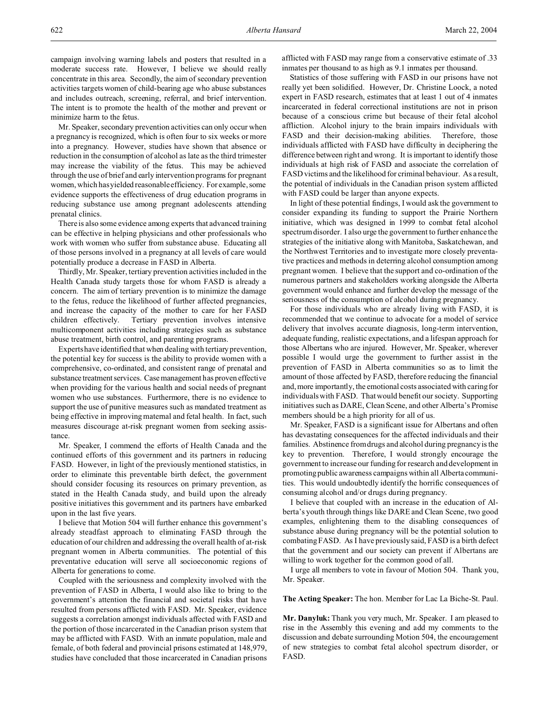campaign involving warning labels and posters that resulted in a moderate success rate. However, I believe we should really concentrate in this area. Secondly, the aim of secondary prevention activities targets women of child-bearing age who abuse substances and includes outreach, screening, referral, and brief intervention. The intent is to promote the health of the mother and prevent or minimize harm to the fetus.

Mr. Speaker, secondary prevention activities can only occur when a pregnancy is recognized, which is often four to six weeks or more into a pregnancy. However, studies have shown that absence or reduction in the consumption of alcohol as late as the third trimester may increase the viability of the fetus. This may be achieved through the use of brief and early intervention programs for pregnant women, which has yielded reasonable efficiency. For example, some evidence supports the effectiveness of drug education programs in reducing substance use among pregnant adolescents attending prenatal clinics.

There is also some evidence among experts that advanced training can be effective in helping physicians and other professionals who work with women who suffer from substance abuse. Educating all of those persons involved in a pregnancy at all levels of care would potentially produce a decrease in FASD in Alberta.

Thirdly, Mr. Speaker, tertiary prevention activities included in the Health Canada study targets those for whom FASD is already a concern. The aim of tertiary prevention is to minimize the damage to the fetus, reduce the likelihood of further affected pregnancies, and increase the capacity of the mother to care for her FASD children effectively. Tertiary prevention involves intensive multicomponent activities including strategies such as substance abuse treatment, birth control, and parenting programs.

Experts have identified that when dealing with tertiary prevention, the potential key for success is the ability to provide women with a comprehensive, co-ordinated, and consistent range of prenatal and substance treatment services. Case management has proven effective when providing for the various health and social needs of pregnant women who use substances. Furthermore, there is no evidence to support the use of punitive measures such as mandated treatment as being effective in improving maternal and fetal health. In fact, such measures discourage at-risk pregnant women from seeking assistance.

Mr. Speaker, I commend the efforts of Health Canada and the continued efforts of this government and its partners in reducing FASD. However, in light of the previously mentioned statistics, in order to eliminate this preventable birth defect, the government should consider focusing its resources on primary prevention, as stated in the Health Canada study, and build upon the already positive initiatives this government and its partners have embarked upon in the last five years.

I believe that Motion 504 will further enhance this government's already steadfast approach to eliminating FASD through the education of our children and addressing the overall health of at-risk pregnant women in Alberta communities. The potential of this preventative education will serve all socioeconomic regions of Alberta for generations to come.

Coupled with the seriousness and complexity involved with the prevention of FASD in Alberta, I would also like to bring to the government's attention the financial and societal risks that have resulted from persons afflicted with FASD. Mr. Speaker, evidence suggests a correlation amongst individuals affected with FASD and the portion of those incarcerated in the Canadian prison system that may be afflicted with FASD. With an inmate population, male and female, of both federal and provincial prisons estimated at 148,979, studies have concluded that those incarcerated in Canadian prisons

afflicted with FASD may range from a conservative estimate of .33 inmates per thousand to as high as 9.1 inmates per thousand.

Statistics of those suffering with FASD in our prisons have not really yet been solidified. However, Dr. Christine Loock, a noted expert in FASD research, estimates that at least 1 out of 4 inmates incarcerated in federal correctional institutions are not in prison because of a conscious crime but because of their fetal alcohol affliction. Alcohol injury to the brain impairs individuals with FASD and their decision-making abilities. Therefore, those individuals afflicted with FASD have difficulty in deciphering the difference between right and wrong. It is important to identify those individuals at high risk of FASD and associate the correlation of FASD victims and the likelihood for criminal behaviour. As a result, the potential of individuals in the Canadian prison system afflicted with FASD could be larger than anyone expects.

In light of these potential findings, I would ask the government to consider expanding its funding to support the Prairie Northern initiative, which was designed in 1999 to combat fetal alcohol spectrum disorder. I also urge the government to further enhance the strategies of the initiative along with Manitoba, Saskatchewan, and the Northwest Territories and to investigate more closely preventative practices and methods in deterring alcohol consumption among pregnant women. I believe that the support and co-ordination of the numerous partners and stakeholders working alongside the Alberta government would enhance and further develop the message of the seriousness of the consumption of alcohol during pregnancy.

For those individuals who are already living with FASD, it is recommended that we continue to advocate for a model of service delivery that involves accurate diagnosis, long-term intervention, adequate funding, realistic expectations, and a lifespan approach for those Albertans who are injured. However, Mr. Speaker, wherever possible I would urge the government to further assist in the prevention of FASD in Alberta communities so as to limit the amount of those affected by FASD, therefore reducing the financial and, more importantly, the emotional costs associated with caring for individuals with FASD. That would benefit our society. Supporting initiatives such as DARE, Clean Scene, and other Alberta's Promise members should be a high priority for all of us.

Mr. Speaker, FASD is a significant issue for Albertans and often has devastating consequences for the affected individuals and their families. Abstinence from drugs and alcohol during pregnancy is the key to prevention. Therefore, I would strongly encourage the government to increase our funding for research and development in promoting public awareness campaigns within all Alberta communities. This would undoubtedly identify the horrific consequences of consuming alcohol and/or drugs during pregnancy.

I believe that coupled with an increase in the education of Alberta's youth through things like DARE and Clean Scene, two good examples, enlightening them to the disabling consequences of substance abuse during pregnancy will be the potential solution to combating FASD. As I have previously said, FASD is a birth defect that the government and our society can prevent if Albertans are willing to work together for the common good of all.

I urge all members to vote in favour of Motion 504. Thank you, Mr. Speaker.

**The Acting Speaker:** The hon. Member for Lac La Biche-St. Paul.

**Mr. Danyluk:** Thank you very much, Mr. Speaker. I am pleased to rise in the Assembly this evening and add my comments to the discussion and debate surrounding Motion 504, the encouragement of new strategies to combat fetal alcohol spectrum disorder, or FASD.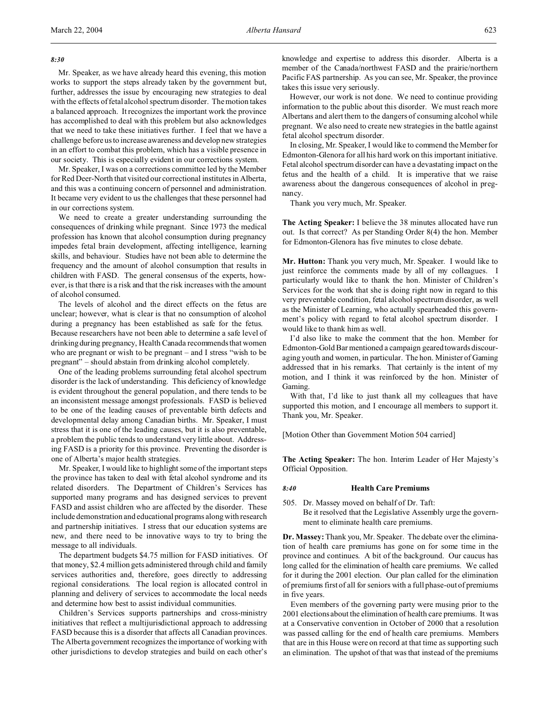### *8:30*

Mr. Speaker, as we have already heard this evening, this motion works to support the steps already taken by the government but, further, addresses the issue by encouraging new strategies to deal with the effects of fetal alcohol spectrum disorder. The motion takes a balanced approach. It recognizes the important work the province has accomplished to deal with this problem but also acknowledges that we need to take these initiatives further. I feel that we have a challenge before us to increase awareness and develop new strategies in an effort to combat this problem, which has a visible presence in our society. This is especially evident in our corrections system.

Mr. Speaker, I was on a corrections committee led by the Member for Red Deer-North that visited our correctional institutes in Alberta, and this was a continuing concern of personnel and administration. It became very evident to us the challenges that these personnel had in our corrections system.

We need to create a greater understanding surrounding the consequences of drinking while pregnant. Since 1973 the medical profession has known that alcohol consumption during pregnancy impedes fetal brain development, affecting intelligence, learning skills, and behaviour. Studies have not been able to determine the frequency and the amount of alcohol consumption that results in children with FASD. The general consensus of the experts, however, is that there is a risk and that the risk increases with the amount of alcohol consumed.

The levels of alcohol and the direct effects on the fetus are unclear; however, what is clear is that no consumption of alcohol during a pregnancy has been established as safe for the fetus. Because researchers have not been able to determine a safe level of drinking during pregnancy, Health Canada recommends that women who are pregnant or wish to be pregnant – and I stress "wish to be pregnant" – should abstain from drinking alcohol completely.

One of the leading problems surrounding fetal alcohol spectrum disorder is the lack of understanding. This deficiency of knowledge is evident throughout the general population, and there tends to be an inconsistent message amongst professionals. FASD is believed to be one of the leading causes of preventable birth defects and developmental delay among Canadian births. Mr. Speaker, I must stress that it is one of the leading causes, but it is also preventable, a problem the public tends to understand very little about. Addressing FASD is a priority for this province. Preventing the disorder is one of Alberta's major health strategies.

Mr. Speaker, I would like to highlight some of the important steps the province has taken to deal with fetal alcohol syndrome and its related disorders. The Department of Children's Services has supported many programs and has designed services to prevent FASD and assist children who are affected by the disorder. These include demonstration and educational programs along with research and partnership initiatives. I stress that our education systems are new, and there need to be innovative ways to try to bring the message to all individuals.

The department budgets \$4.75 million for FASD initiatives. Of that money, \$2.4 million gets administered through child and family services authorities and, therefore, goes directly to addressing regional considerations. The local region is allocated control in planning and delivery of services to accommodate the local needs and determine how best to assist individual communities.

Children's Services supports partnerships and cross-ministry initiatives that reflect a multijurisdictional approach to addressing FASD because this is a disorder that affects all Canadian provinces. The Alberta government recognizes the importance of working with other jurisdictions to develop strategies and build on each other's knowledge and expertise to address this disorder. Alberta is a member of the Canada/northwest FASD and the prairie/northern Pacific FAS partnership. As you can see, Mr. Speaker, the province takes this issue very seriously.

However, our work is not done. We need to continue providing information to the public about this disorder. We must reach more Albertans and alert them to the dangers of consuming alcohol while pregnant. We also need to create new strategies in the battle against fetal alcohol spectrum disorder.

In closing, Mr. Speaker, I would like to commend the Member for Edmonton-Glenora for all his hard work on this important initiative. Fetal alcohol spectrum disorder can have a devastating impact on the fetus and the health of a child. It is imperative that we raise awareness about the dangerous consequences of alcohol in pregnancy.

Thank you very much, Mr. Speaker.

**The Acting Speaker:** I believe the 38 minutes allocated have run out. Is that correct? As per Standing Order 8(4) the hon. Member for Edmonton-Glenora has five minutes to close debate.

**Mr. Hutton:** Thank you very much, Mr. Speaker. I would like to just reinforce the comments made by all of my colleagues. I particularly would like to thank the hon. Minister of Children's Services for the work that she is doing right now in regard to this very preventable condition, fetal alcohol spectrum disorder, as well as the Minister of Learning, who actually spearheaded this government's policy with regard to fetal alcohol spectrum disorder. I would like to thank him as well.

I'd also like to make the comment that the hon. Member for Edmonton-Gold Bar mentioned a campaign geared towards discouraging youth and women, in particular. The hon. Minister of Gaming addressed that in his remarks. That certainly is the intent of my motion, and I think it was reinforced by the hon. Minister of Gaming.

With that, I'd like to just thank all my colleagues that have supported this motion, and I encourage all members to support it. Thank you, Mr. Speaker.

[Motion Other than Government Motion 504 carried]

**The Acting Speaker:** The hon. Interim Leader of Her Majesty's Official Opposition.

### *8:40* **Health Care Premiums**

505. Dr. Massey moved on behalf of Dr. Taft: Be it resolved that the Legislative Assembly urge the government to eliminate health care premiums.

**Dr. Massey:**Thank you, Mr. Speaker. The debate over the elimination of health care premiums has gone on for some time in the province and continues. A bit of the background. Our caucus has long called for the elimination of health care premiums. We called for it during the 2001 election. Our plan called for the elimination of premiums first of all for seniors with a full phase-out of premiums in five years.

Even members of the governing party were musing prior to the 2001 elections about the elimination of health care premiums. It was at a Conservative convention in October of 2000 that a resolution was passed calling for the end of health care premiums. Members that are in this House were on record at that time as supporting such an elimination. The upshot of that was that instead of the premiums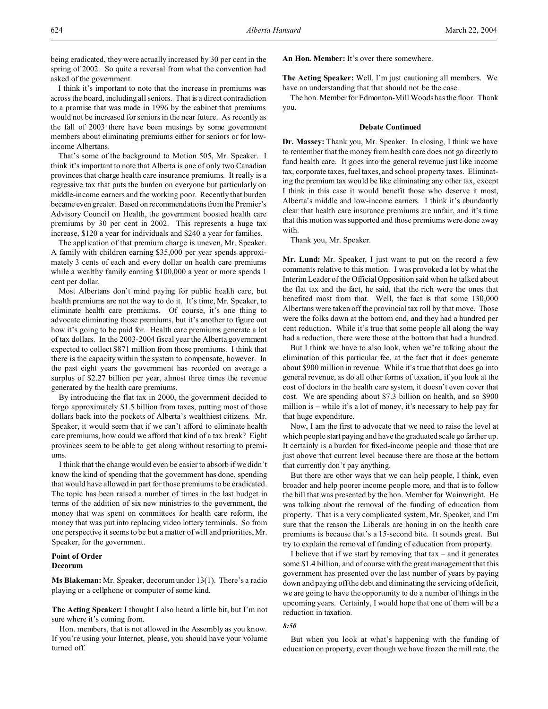being eradicated, they were actually increased by 30 per cent in the spring of 2002. So quite a reversal from what the convention had asked of the government.

I think it's important to note that the increase in premiums was across the board, including all seniors. That is a direct contradiction to a promise that was made in 1996 by the cabinet that premiums would not be increased for seniors in the near future. As recently as the fall of 2003 there have been musings by some government members about eliminating premiums either for seniors or for lowincome Albertans.

That's some of the background to Motion 505, Mr. Speaker. I think it's important to note that Alberta is one of only two Canadian provinces that charge health care insurance premiums. It really is a regressive tax that puts the burden on everyone but particularly on middle-income earners and the working poor. Recently that burden became even greater. Based on recommendations from the Premier's Advisory Council on Health, the government boosted health care premiums by 30 per cent in 2002. This represents a huge tax increase, \$120 a year for individuals and \$240 a year for families.

The application of that premium charge is uneven, Mr. Speaker. A family with children earning \$35,000 per year spends approximately 3 cents of each and every dollar on health care premiums while a wealthy family earning \$100,000 a year or more spends 1 cent per dollar.

Most Albertans don't mind paying for public health care, but health premiums are not the way to do it. It's time, Mr. Speaker, to eliminate health care premiums. Of course, it's one thing to advocate eliminating those premiums, but it's another to figure out how it's going to be paid for. Health care premiums generate a lot of tax dollars. In the 2003-2004 fiscal year the Alberta government expected to collect \$871 million from those premiums. I think that there is the capacity within the system to compensate, however. In the past eight years the government has recorded on average a surplus of \$2.27 billion per year, almost three times the revenue generated by the health care premiums.

By introducing the flat tax in 2000, the government decided to forgo approximately \$1.5 billion from taxes, putting most of those dollars back into the pockets of Alberta's wealthiest citizens. Mr. Speaker, it would seem that if we can't afford to eliminate health care premiums, how could we afford that kind of a tax break? Eight provinces seem to be able to get along without resorting to premiums.

I think that the change would even be easier to absorb if we didn't know the kind of spending that the government has done, spending that would have allowed in part for those premiums to be eradicated. The topic has been raised a number of times in the last budget in terms of the addition of six new ministries to the government, the money that was spent on committees for health care reform, the money that was put into replacing video lottery terminals. So from one perspective it seems to be but a matter of will and priorities, Mr. Speaker, for the government.

# **Point of Order Decorum**

**Ms Blakeman:** Mr. Speaker, decorum under 13(1). There's a radio playing or a cellphone or computer of some kind.

**The Acting Speaker:** I thought I also heard a little bit, but I'm not sure where it's coming from.

Hon. members, that is not allowed in the Assembly as you know. If you're using your Internet, please, you should have your volume turned off.

**An Hon. Member:** It's over there somewhere.

**The Acting Speaker:** Well, I'm just cautioning all members. We have an understanding that that should not be the case.

The hon. Member for Edmonton-Mill Woods has the floor. Thank you.

### **Debate Continued**

**Dr. Massey:** Thank you, Mr. Speaker. In closing, I think we have to remember that the money from health care does not go directly to fund health care. It goes into the general revenue just like income tax, corporate taxes, fuel taxes, and school property taxes. Eliminating the premium tax would be like eliminating any other tax, except I think in this case it would benefit those who deserve it most, Alberta's middle and low-income earners. I think it's abundantly clear that health care insurance premiums are unfair, and it's time that this motion was supported and those premiums were done away with.

Thank you, Mr. Speaker.

**Mr. Lund:** Mr. Speaker, I just want to put on the record a few comments relative to this motion. I was provoked a lot by what the Interim Leader of the Official Opposition said when he talked about the flat tax and the fact, he said, that the rich were the ones that benefited most from that. Well, the fact is that some 130,000 Albertans were taken off the provincial tax roll by that move. Those were the folks down at the bottom end, and they had a hundred per cent reduction. While it's true that some people all along the way had a reduction, there were those at the bottom that had a hundred.

But I think we have to also look, when we're talking about the elimination of this particular fee, at the fact that it does generate about \$900 million in revenue. While it's true that that does go into general revenue, as do all other forms of taxation, if you look at the cost of doctors in the health care system, it doesn't even cover that cost. We are spending about \$7.3 billion on health, and so \$900 million is – while it's a lot of money, it's necessary to help pay for that huge expenditure.

Now, I am the first to advocate that we need to raise the level at which people start paying and have the graduated scale go farther up. It certainly is a burden for fixed-income people and those that are just above that current level because there are those at the bottom that currently don't pay anything.

But there are other ways that we can help people, I think, even broader and help poorer income people more, and that is to follow the bill that was presented by the hon. Member for Wainwright. He was talking about the removal of the funding of education from property. That is a very complicated system, Mr. Speaker, and I'm sure that the reason the Liberals are honing in on the health care premiums is because that's a 15-second bite. It sounds great. But try to explain the removal of funding of education from property.

I believe that if we start by removing that  $tax - and it generates$ some \$1.4 billion, and of course with the great management that this government has presented over the last number of years by paying down and paying off the debt and eliminating the servicing of deficit, we are going to have the opportunity to do a number of things in the upcoming years. Certainly, I would hope that one of them will be a reduction in taxation.

### *8:50*

But when you look at what's happening with the funding of education on property, even though we have frozen the mill rate, the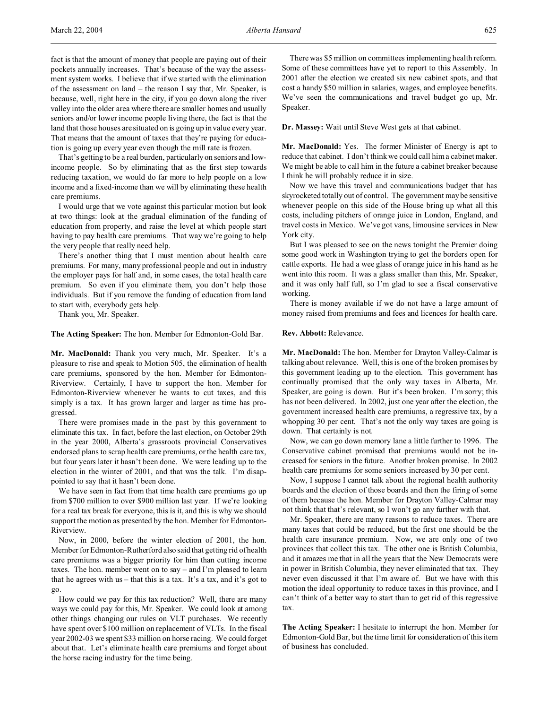fact is that the amount of money that people are paying out of their pockets annually increases. That's because of the way the assessment system works. I believe that if we started with the elimination of the assessment on land – the reason I say that, Mr. Speaker, is because, well, right here in the city, if you go down along the river valley into the older area where there are smaller homes and usually seniors and/or lower income people living there, the fact is that the land that those houses are situated on is going up in value every year. That means that the amount of taxes that they're paying for education is going up every year even though the mill rate is frozen.

That's getting to be a real burden, particularly on seniors and lowincome people. So by eliminating that as the first step towards reducing taxation, we would do far more to help people on a low income and a fixed-income than we will by eliminating these health care premiums.

I would urge that we vote against this particular motion but look at two things: look at the gradual elimination of the funding of education from property, and raise the level at which people start having to pay health care premiums. That way we're going to help the very people that really need help.

There's another thing that I must mention about health care premiums. For many, many professional people and out in industry the employer pays for half and, in some cases, the total health care premium. So even if you eliminate them, you don't help those individuals. But if you remove the funding of education from land to start with, everybody gets help.

Thank you, Mr. Speaker.

**The Acting Speaker:** The hon. Member for Edmonton-Gold Bar.

**Mr. MacDonald:** Thank you very much, Mr. Speaker. It's a pleasure to rise and speak to Motion 505, the elimination of health care premiums, sponsored by the hon. Member for Edmonton-Riverview. Certainly, I have to support the hon. Member for Edmonton-Riverview whenever he wants to cut taxes, and this simply is a tax. It has grown larger and larger as time has progressed.

There were promises made in the past by this government to eliminate this tax. In fact, before the last election, on October 29th in the year 2000, Alberta's grassroots provincial Conservatives endorsed plans to scrap health care premiums, or the health care tax, but four years later it hasn't been done. We were leading up to the election in the winter of 2001, and that was the talk. I'm disappointed to say that it hasn't been done.

We have seen in fact from that time health care premiums go up from \$700 million to over \$900 million last year. If we're looking for a real tax break for everyone, this is it, and this is why we should support the motion as presented by the hon. Member for Edmonton-Riverview.

Now, in 2000, before the winter election of 2001, the hon. Member for Edmonton-Rutherford also said that getting rid of health care premiums was a bigger priority for him than cutting income taxes. The hon. member went on to say – and I'm pleased to learn that he agrees with us – that this is a tax. It's a tax, and it's got to go.

How could we pay for this tax reduction? Well, there are many ways we could pay for this, Mr. Speaker. We could look at among other things changing our rules on VLT purchases. We recently have spent over \$100 million on replacement of VLTs. In the fiscal year 2002-03 we spent \$33 million on horse racing. We could forget about that. Let's eliminate health care premiums and forget about the horse racing industry for the time being.

There was \$5 million on committees implementing health reform. Some of these committees have yet to report to this Assembly. In 2001 after the election we created six new cabinet spots, and that cost a handy \$50 million in salaries, wages, and employee benefits. We've seen the communications and travel budget go up, Mr. Speaker.

**Dr. Massey:** Wait until Steve West gets at that cabinet.

**Mr. MacDonald:** Yes. The former Minister of Energy is apt to reduce that cabinet. I don't think we could call him a cabinet maker. We might be able to call him in the future a cabinet breaker because I think he will probably reduce it in size.

Now we have this travel and communications budget that has skyrocketed totally out of control. The government may be sensitive whenever people on this side of the House bring up what all this costs, including pitchers of orange juice in London, England, and travel costs in Mexico. We've got vans, limousine services in New York city.

But I was pleased to see on the news tonight the Premier doing some good work in Washington trying to get the borders open for cattle exports. He had a wee glass of orange juice in his hand as he went into this room. It was a glass smaller than this, Mr. Speaker, and it was only half full, so I'm glad to see a fiscal conservative working.

There is money available if we do not have a large amount of money raised from premiums and fees and licences for health care.

## **Rev. Abbott:** Relevance.

**Mr. MacDonald:** The hon. Member for Drayton Valley-Calmar is talking about relevance. Well, this is one of the broken promises by this government leading up to the election. This government has continually promised that the only way taxes in Alberta, Mr. Speaker, are going is down. But it's been broken. I'm sorry; this has not been delivered. In 2002, just one year after the election, the government increased health care premiums, a regressive tax, by a whopping 30 per cent. That's not the only way taxes are going is down. That certainly is not.

Now, we can go down memory lane a little further to 1996. The Conservative cabinet promised that premiums would not be increased for seniors in the future. Another broken promise. In 2002 health care premiums for some seniors increased by 30 per cent.

Now, I suppose I cannot talk about the regional health authority boards and the election of those boards and then the firing of some of them because the hon. Member for Drayton Valley-Calmar may not think that that's relevant, so I won't go any further with that.

Mr. Speaker, there are many reasons to reduce taxes. There are many taxes that could be reduced, but the first one should be the health care insurance premium. Now, we are only one of two provinces that collect this tax. The other one is British Columbia, and it amazes me that in all the years that the New Democrats were in power in British Columbia, they never eliminated that tax. They never even discussed it that I'm aware of. But we have with this motion the ideal opportunity to reduce taxes in this province, and I can't think of a better way to start than to get rid of this regressive tax.

**The Acting Speaker:** I hesitate to interrupt the hon. Member for Edmonton-Gold Bar, but the time limit for consideration of this item of business has concluded.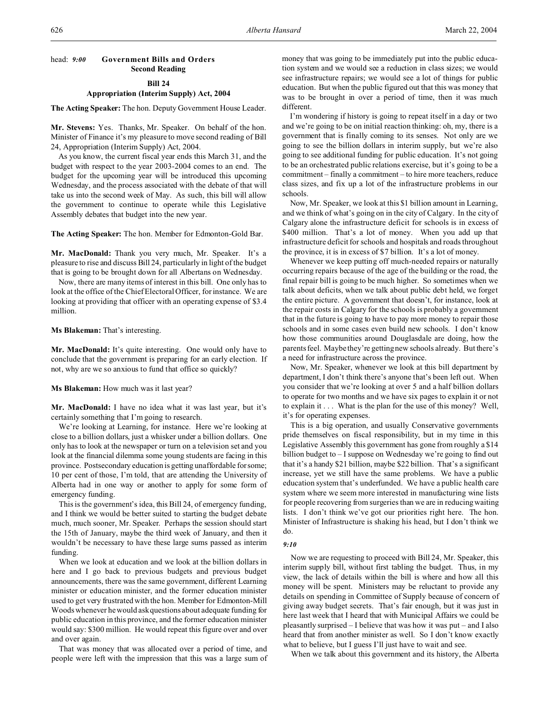# head: *9:00* **Government Bills and Orders Second Reading**

## **Bill 24**

## **Appropriation (Interim Supply) Act, 2004**

**The Acting Speaker:** The hon. Deputy Government House Leader.

**Mr. Stevens:** Yes. Thanks, Mr. Speaker. On behalf of the hon. Minister of Finance it's my pleasure to move second reading of Bill 24, Appropriation (Interim Supply) Act, 2004.

As you know, the current fiscal year ends this March 31, and the budget with respect to the year 2003-2004 comes to an end. The budget for the upcoming year will be introduced this upcoming Wednesday, and the process associated with the debate of that will take us into the second week of May. As such, this bill will allow the government to continue to operate while this Legislative Assembly debates that budget into the new year.

**The Acting Speaker:** The hon. Member for Edmonton-Gold Bar.

**Mr. MacDonald:** Thank you very much, Mr. Speaker. It's a pleasure to rise and discuss Bill 24, particularly in light of the budget that is going to be brought down for all Albertans on Wednesday.

Now, there are many items of interest in this bill. One only has to look at the office of the Chief Electoral Officer, for instance. We are looking at providing that officer with an operating expense of \$3.4 million.

**Ms Blakeman:** That's interesting.

**Mr. MacDonald:** It's quite interesting. One would only have to conclude that the government is preparing for an early election. If not, why are we so anxious to fund that office so quickly?

## **Ms Blakeman:** How much was it last year?

**Mr. MacDonald:** I have no idea what it was last year, but it's certainly something that I'm going to research.

We're looking at Learning, for instance. Here we're looking at close to a billion dollars, just a whisker under a billion dollars. One only has to look at the newspaper or turn on a television set and you look at the financial dilemma some young students are facing in this province. Postsecondary education is getting unaffordable for some; 10 per cent of those, I'm told, that are attending the University of Alberta had in one way or another to apply for some form of emergency funding.

This is the government's idea, this Bill 24, of emergency funding, and I think we would be better suited to starting the budget debate much, much sooner, Mr. Speaker. Perhaps the session should start the 15th of January, maybe the third week of January, and then it wouldn't be necessary to have these large sums passed as interim funding.

When we look at education and we look at the billion dollars in here and I go back to previous budgets and previous budget announcements, there was the same government, different Learning minister or education minister, and the former education minister used to get very frustrated with the hon. Member for Edmonton-Mill Woods whenever he would ask questions about adequate funding for public education in this province, and the former education minister would say: \$300 million. He would repeat this figure over and over and over again.

That was money that was allocated over a period of time, and people were left with the impression that this was a large sum of

money that was going to be immediately put into the public education system and we would see a reduction in class sizes; we would see infrastructure repairs; we would see a lot of things for public education. But when the public figured out that this was money that was to be brought in over a period of time, then it was much different.

I'm wondering if history is going to repeat itself in a day or two and we're going to be on initial reaction thinking: oh, my, there is a government that is finally coming to its senses. Not only are we going to see the billion dollars in interim supply, but we're also going to see additional funding for public education. It's not going to be an orchestrated public relations exercise, but it's going to be a commitment – finally a commitment – to hire more teachers, reduce class sizes, and fix up a lot of the infrastructure problems in our schools.

Now, Mr. Speaker, we look at this \$1 billion amount in Learning, and we think of what's going on in the city of Calgary. In the city of Calgary alone the infrastructure deficit for schools is in excess of \$400 million. That's a lot of money. When you add up that infrastructure deficit for schools and hospitals and roads throughout the province, it is in excess of \$7 billion. It's a lot of money.

Whenever we keep putting off much-needed repairs or naturally occurring repairs because of the age of the building or the road, the final repair bill is going to be much higher. So sometimes when we talk about deficits, when we talk about public debt held, we forget the entire picture. A government that doesn't, for instance, look at the repair costs in Calgary for the schools is probably a government that in the future is going to have to pay more money to repair those schools and in some cases even build new schools. I don't know how those communities around Douglasdale are doing, how the parents feel. Maybe they're getting new schools already. But there's a need for infrastructure across the province.

Now, Mr. Speaker, whenever we look at this bill department by department, I don't think there's anyone that's been left out. When you consider that we're looking at over 5 and a half billion dollars to operate for two months and we have six pages to explain it or not to explain it . . . What is the plan for the use of this money? Well, it's for operating expenses.

This is a big operation, and usually Conservative governments pride themselves on fiscal responsibility, but in my time in this Legislative Assembly this government has gone from roughly a \$14 billion budget to – I suppose on Wednesday we're going to find out that it's a handy \$21 billion, maybe \$22 billion. That's a significant increase, yet we still have the same problems. We have a public education system that's underfunded. We have a public health care system where we seem more interested in manufacturing wine lists for people recovering from surgeries than we are in reducing waiting lists. I don't think we've got our priorities right here. The hon. Minister of Infrastructure is shaking his head, but I don't think we do.

### *9:10*

Now we are requesting to proceed with Bill 24, Mr. Speaker, this interim supply bill, without first tabling the budget. Thus, in my view, the lack of details within the bill is where and how all this money will be spent. Ministers may be reluctant to provide any details on spending in Committee of Supply because of concern of giving away budget secrets. That's fair enough, but it was just in here last week that I heard that with Municipal Affairs we could be pleasantly surprised – I believe that was how it was put – and I also heard that from another minister as well. So I don't know exactly what to believe, but I guess I'll just have to wait and see.

When we talk about this government and its history, the Alberta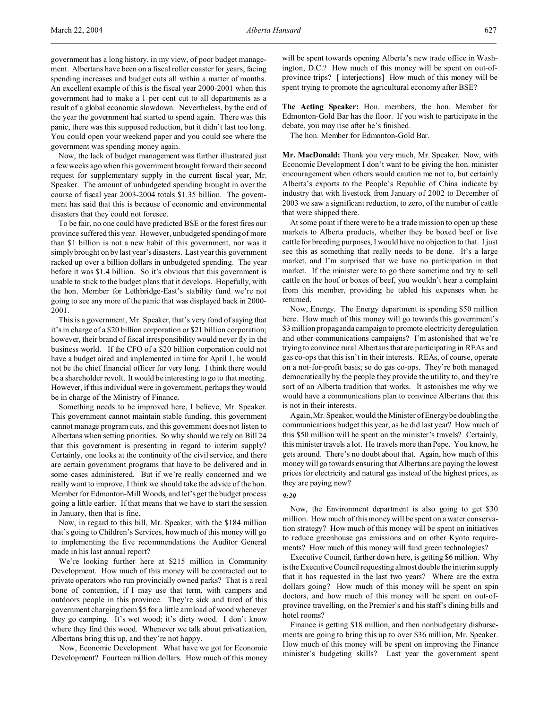government has a long history, in my view, of poor budget management. Albertans have been on a fiscal roller coaster for years, facing spending increases and budget cuts all within a matter of months. An excellent example of this is the fiscal year 2000-2001 when this government had to make a 1 per cent cut to all departments as a result of a global economic slowdown. Nevertheless, by the end of the year the government had started to spend again. There was this panic, there was this supposed reduction, but it didn't last too long. You could open your weekend paper and you could see where the government was spending money again.

Now, the lack of budget management was further illustrated just a few weeks ago when this government brought forward their second request for supplementary supply in the current fiscal year, Mr. Speaker. The amount of unbudgeted spending brought in over the course of fiscal year 2003-2004 totals \$1.35 billion. The government has said that this is because of economic and environmental disasters that they could not foresee.

To be fair, no one could have predicted BSE or the forest fires our province suffered this year. However, unbudgeted spending of more than \$1 billion is not a new habit of this government, nor was it simply brought on by last year's disasters. Last year this government racked up over a billion dollars in unbudgeted spending. The year before it was \$1.4 billion. So it's obvious that this government is unable to stick to the budget plans that it develops. Hopefully, with the hon. Member for Lethbridge-East's stability fund we're not going to see any more of the panic that was displayed back in 2000- 2001.

This is a government, Mr. Speaker, that's very fond of saying that it's in charge of a \$20 billion corporation or \$21 billion corporation; however, their brand of fiscal irresponsibility would never fly in the business world. If the CFO of a \$20 billion corporation could not have a budget aired and implemented in time for April 1, he would not be the chief financial officer for very long. I think there would be a shareholder revolt. It would be interesting to go to that meeting. However, if this individual were in government, perhaps they would be in charge of the Ministry of Finance.

Something needs to be improved here, I believe, Mr. Speaker. This government cannot maintain stable funding, this government cannot manage program cuts, and this government does not listen to Albertans when setting priorities. So why should we rely on Bill 24 that this government is presenting in regard to interim supply? Certainly, one looks at the continuity of the civil service, and there are certain government programs that have to be delivered and in some cases administered. But if we're really concerned and we really want to improve, I think we should take the advice of the hon. Member for Edmonton-Mill Woods, and let's get the budget process going a little earlier. If that means that we have to start the session in January, then that is fine.

Now, in regard to this bill, Mr. Speaker, with the \$184 million that's going to Children's Services, how much of this money will go to implementing the five recommendations the Auditor General made in his last annual report?

We're looking further here at \$215 million in Community Development. How much of this money will be contracted out to private operators who run provincially owned parks? That is a real bone of contention, if I may use that term, with campers and outdoors people in this province. They're sick and tired of this government charging them \$5 for a little armload of wood whenever they go camping. It's wet wood; it's dirty wood. I don't know where they find this wood. Whenever we talk about privatization, Albertans bring this up, and they're not happy.

Now, Economic Development. What have we got for Economic Development? Fourteen million dollars. How much of this money

will be spent towards opening Alberta's new trade office in Washington, D.C.? How much of this money will be spent on out-ofprovince trips? [ interjections] How much of this money will be spent trying to promote the agricultural economy after BSE?

**The Acting Speaker:** Hon. members, the hon. Member for Edmonton-Gold Bar has the floor. If you wish to participate in the debate, you may rise after he's finished.

The hon. Member for Edmonton-Gold Bar.

**Mr. MacDonald:** Thank you very much, Mr. Speaker. Now, with Economic Development I don't want to be giving the hon. minister encouragement when others would caution me not to, but certainly Alberta's exports to the People's Republic of China indicate by industry that with livestock from January of 2002 to December of 2003 we saw a significant reduction, to zero, of the number of cattle that were shipped there.

At some point if there were to be a trade mission to open up these markets to Alberta products, whether they be boxed beef or live cattle for breeding purposes, I would have no objection to that. I just see this as something that really needs to be done. It's a large market, and I'm surprised that we have no participation in that market. If the minister were to go there sometime and try to sell cattle on the hoof or boxes of beef, you wouldn't hear a complaint from this member, providing he tabled his expenses when he returned.

Now, Energy. The Energy department is spending \$50 million here. How much of this money will go towards this government's \$3 million propaganda campaign to promote electricity deregulation and other communications campaigns? I'm astonished that we're trying to convince rural Albertans that are participating in REAs and gas co-ops that this isn't in their interests. REAs, of course, operate on a not-for-profit basis; so do gas co-ops. They're both managed democratically by the people they provide the utility to, and they're sort of an Alberta tradition that works. It astonishes me why we would have a communications plan to convince Albertans that this is not in their interests.

Again, Mr. Speaker, would the Minister of Energy be doubling the communications budget this year, as he did last year? How much of this \$50 million will be spent on the minister's travels? Certainly, this minister travels a lot. He travels more than Pepe. You know, he gets around. There's no doubt about that. Again, how much of this money will go towards ensuring that Albertans are paying the lowest prices for electricity and natural gas instead of the highest prices, as they are paying now?

## *9:20*

Now, the Environment department is also going to get \$30 million. How much of this money will be spent on a water conservation strategy? How much of this money will be spent on initiatives to reduce greenhouse gas emissions and on other Kyoto requirements? How much of this money will fund green technologies?

Executive Council, further down here, is getting \$6 million. Why is the Executive Council requesting almost double the interim supply that it has requested in the last two years? Where are the extra dollars going? How much of this money will be spent on spin doctors, and how much of this money will be spent on out-ofprovince travelling, on the Premier's and his staff's dining bills and hotel rooms?

Finance is getting \$18 million, and then nonbudgetary disbursements are going to bring this up to over \$36 million, Mr. Speaker. How much of this money will be spent on improving the Finance minister's budgeting skills? Last year the government spent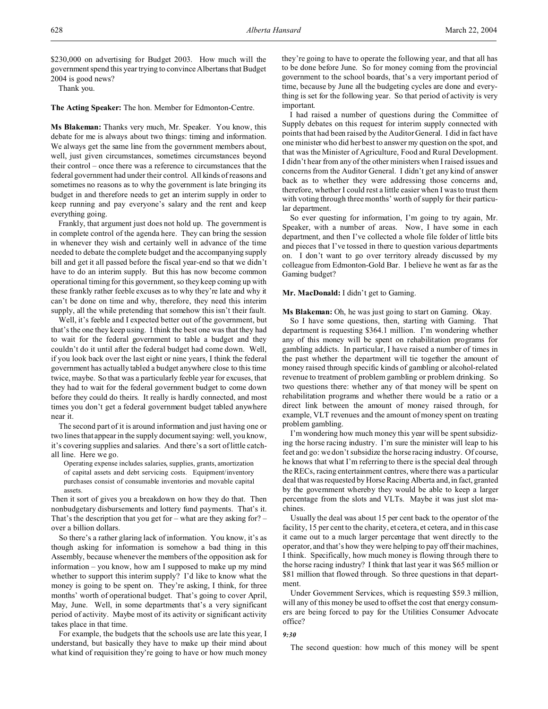Thank you.

**The Acting Speaker:** The hon. Member for Edmonton-Centre.

**Ms Blakeman:** Thanks very much, Mr. Speaker. You know, this debate for me is always about two things: timing and information. We always get the same line from the government members about, well, just given circumstances, sometimes circumstances beyond their control – once there was a reference to circumstances that the federal government had under their control. All kinds of reasons and sometimes no reasons as to why the government is late bringing its budget in and therefore needs to get an interim supply in order to keep running and pay everyone's salary and the rent and keep everything going.

Frankly, that argument just does not hold up. The government is in complete control of the agenda here. They can bring the session in whenever they wish and certainly well in advance of the time needed to debate the complete budget and the accompanying supply bill and get it all passed before the fiscal year-end so that we didn't have to do an interim supply. But this has now become common operational timing for this government, so they keep coming up with these frankly rather feeble excuses as to why they're late and why it can't be done on time and why, therefore, they need this interim supply, all the while pretending that somehow this isn't their fault.

Well, it's feeble and I expected better out of the government, but that's the one they keep using. I think the best one was that they had to wait for the federal government to table a budget and they couldn't do it until after the federal budget had come down. Well, if you look back over the last eight or nine years, I think the federal government has actually tabled a budget anywhere close to this time twice, maybe. So that was a particularly feeble year for excuses, that they had to wait for the federal government budget to come down before they could do theirs. It really is hardly connected, and most times you don't get a federal government budget tabled anywhere near it.

The second part of it is around information and just having one or two lines that appear in the supply document saying: well, you know, it's covering supplies and salaries. And there's a sort of little catchall line. Here we go.

Operating expense includes salaries, supplies, grants, amortization of capital assets and debt servicing costs. Equipment/inventory purchases consist of consumable inventories and movable capital assets.

Then it sort of gives you a breakdown on how they do that. Then nonbudgetary disbursements and lottery fund payments. That's it. That's the description that you get for – what are they asking for? – over a billion dollars.

So there's a rather glaring lack of information. You know, it's as though asking for information is somehow a bad thing in this Assembly, because whenever the members of the opposition ask for information – you know, how am I supposed to make up my mind whether to support this interim supply? I'd like to know what the money is going to be spent on. They're asking, I think, for three months' worth of operational budget. That's going to cover April, May, June. Well, in some departments that's a very significant period of activity. Maybe most of its activity or significant activity takes place in that time.

For example, the budgets that the schools use are late this year, I understand, but basically they have to make up their mind about what kind of requisition they're going to have or how much money they're going to have to operate the following year, and that all has to be done before June. So for money coming from the provincial government to the school boards, that's a very important period of time, because by June all the budgeting cycles are done and everything is set for the following year. So that period of activity is very important.

I had raised a number of questions during the Committee of Supply debates on this request for interim supply connected with points that had been raised by the Auditor General. I did in fact have one minister who did her best to answer my question on the spot, and that was the Minister of Agriculture, Food and Rural Development. I didn't hear from any of the other ministers when I raised issues and concerns from the Auditor General. I didn't get any kind of answer back as to whether they were addressing those concerns and, therefore, whether I could rest a little easier when I was to trust them with voting through three months' worth of supply for their particular department.

So ever questing for information, I'm going to try again, Mr. Speaker, with a number of areas. Now, I have some in each department, and then I've collected a whole file folder of little bits and pieces that I've tossed in there to question various departments on. I don't want to go over territory already discussed by my colleague from Edmonton-Gold Bar. I believe he went as far as the Gaming budget?

## **Mr. MacDonald:** I didn't get to Gaming.

**Ms Blakeman:** Oh, he was just going to start on Gaming. Okay.

So I have some questions, then, starting with Gaming. That department is requesting \$364.1 million. I'm wondering whether any of this money will be spent on rehabilitation programs for gambling addicts. In particular, I have raised a number of times in the past whether the department will tie together the amount of money raised through specific kinds of gambling or alcohol-related revenue to treatment of problem gambling or problem drinking. So two questions there: whether any of that money will be spent on rehabilitation programs and whether there would be a ratio or a direct link between the amount of money raised through, for example, VLT revenues and the amount of money spent on treating problem gambling.

I'm wondering how much money this year will be spent subsidizing the horse racing industry. I'm sure the minister will leap to his feet and go: we don't subsidize the horse racing industry. Of course, he knows that what I'm referring to there is the special deal through the RECs, racing entertainment centres, where there was a particular deal that was requested by Horse Racing Alberta and, in fact, granted by the government whereby they would be able to keep a larger percentage from the slots and VLTs. Maybe it was just slot machines.

Usually the deal was about 15 per cent back to the operator of the facility, 15 per cent to the charity, et cetera, et cetera, and in this case it came out to a much larger percentage that went directly to the operator, and that's how they were helping to pay off their machines, I think. Specifically, how much money is flowing through there to the horse racing industry? I think that last year it was \$65 million or \$81 million that flowed through. So three questions in that department.

Under Government Services, which is requesting \$59.3 million, will any of this money be used to offset the cost that energy consumers are being forced to pay for the Utilities Consumer Advocate office?

### *9:30*

The second question: how much of this money will be spent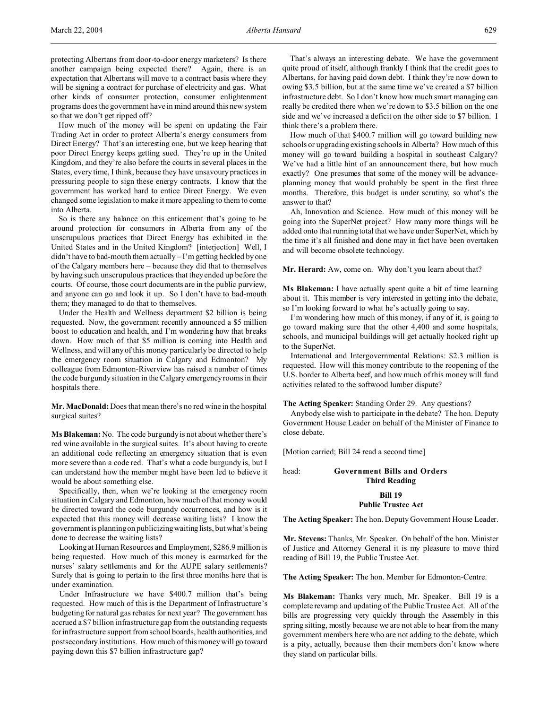protecting Albertans from door-to-door energy marketers? Is there another campaign being expected there? Again, there is an expectation that Albertans will move to a contract basis where they will be signing a contract for purchase of electricity and gas. What other kinds of consumer protection, consumer enlightenment programs does the government have in mind around this new system so that we don't get ripped off?

How much of the money will be spent on updating the Fair Trading Act in order to protect Alberta's energy consumers from Direct Energy? That's an interesting one, but we keep hearing that poor Direct Energy keeps getting sued. They're up in the United Kingdom, and they're also before the courts in several places in the States, every time, I think, because they have unsavoury practices in pressuring people to sign these energy contracts. I know that the government has worked hard to entice Direct Energy. We even changed some legislation to make it more appealing to them to come into Alberta.

So is there any balance on this enticement that's going to be around protection for consumers in Alberta from any of the unscrupulous practices that Direct Energy has exhibited in the United States and in the United Kingdom? [interjection] Well, I didn't have to bad-mouth them actually – I'm getting heckled by one of the Calgary members here – because they did that to themselves by having such unscrupulous practices that they ended up before the courts. Of course, those court documents are in the public purview, and anyone can go and look it up. So I don't have to bad-mouth them; they managed to do that to themselves.

Under the Health and Wellness department \$2 billion is being requested. Now, the government recently announced a \$5 million boost to education and health, and I'm wondering how that breaks down. How much of that \$5 million is coming into Health and Wellness, and will any of this money particularly be directed to help the emergency room situation in Calgary and Edmonton? My colleague from Edmonton-Riverview has raised a number of times the code burgundy situation in the Calgary emergency rooms in their hospitals there.

**Mr. MacDonald:** Does that mean there's no red wine in the hospital surgical suites?

**Ms Blakeman:** No. The code burgundy is not about whether there's red wine available in the surgical suites. It's about having to create an additional code reflecting an emergency situation that is even more severe than a code red. That's what a code burgundy is, but I can understand how the member might have been led to believe it would be about something else.

Specifically, then, when we're looking at the emergency room situation in Calgary and Edmonton, how much of that money would be directed toward the code burgundy occurrences, and how is it expected that this money will decrease waiting lists? I know the government is planning on publicizing waiting lists, but what's being done to decrease the waiting lists?

Looking at Human Resources and Employment, \$286.9 million is being requested. How much of this money is earmarked for the nurses' salary settlements and for the AUPE salary settlements? Surely that is going to pertain to the first three months here that is under examination.

Under Infrastructure we have \$400.7 million that's being requested. How much of this is the Department of Infrastructure's budgeting for natural gas rebates for next year? The government has accrued a \$7 billion infrastructure gap from the outstanding requests for infrastructure support from school boards, health authorities, and postsecondary institutions. How much of this money will go toward paying down this \$7 billion infrastructure gap?

That's always an interesting debate. We have the government quite proud of itself, although frankly I think that the credit goes to Albertans, for having paid down debt. I think they're now down to owing \$3.5 billion, but at the same time we've created a \$7 billion infrastructure debt. So I don't know how much smart managing can really be credited there when we're down to \$3.5 billion on the one side and we've increased a deficit on the other side to \$7 billion. I think there's a problem there.

How much of that \$400.7 million will go toward building new schools or upgrading existing schools in Alberta? How much of this money will go toward building a hospital in southeast Calgary? We've had a little hint of an announcement there, but how much exactly? One presumes that some of the money will be advanceplanning money that would probably be spent in the first three months. Therefore, this budget is under scrutiny, so what's the answer to that?

Ah, Innovation and Science. How much of this money will be going into the SuperNet project? How many more things will be added onto that running total that we have under SuperNet, which by the time it's all finished and done may in fact have been overtaken and will become obsolete technology.

**Mr. Herard:** Aw, come on. Why don't you learn about that?

**Ms Blakeman:** I have actually spent quite a bit of time learning about it. This member is very interested in getting into the debate, so I'm looking forward to what he's actually going to say.

I'm wondering how much of this money, if any of it, is going to go toward making sure that the other 4,400 and some hospitals, schools, and municipal buildings will get actually hooked right up to the SuperNet.

International and Intergovernmental Relations: \$2.3 million is requested. How will this money contribute to the reopening of the U.S. border to Alberta beef, and how much of this money will fund activities related to the softwood lumber dispute?

## **The Acting Speaker:** Standing Order 29. Any questions?

Anybody else wish to participate in the debate? The hon. Deputy Government House Leader on behalf of the Minister of Finance to close debate.

[Motion carried; Bill 24 read a second time]

head: **Government Bills and Orders Third Reading**

## **Bill 19**

#### **Public Trustee Act**

**The Acting Speaker:** The hon. Deputy Government House Leader.

**Mr. Stevens:** Thanks, Mr. Speaker. On behalf of the hon. Minister of Justice and Attorney General it is my pleasure to move third reading of Bill 19, the Public Trustee Act.

**The Acting Speaker:** The hon. Member for Edmonton-Centre.

**Ms Blakeman:** Thanks very much, Mr. Speaker. Bill 19 is a complete revamp and updating of the Public Trustee Act. All of the bills are progressing very quickly through the Assembly in this spring sitting, mostly because we are not able to hear from the many government members here who are not adding to the debate, which is a pity, actually, because then their members don't know where they stand on particular bills.